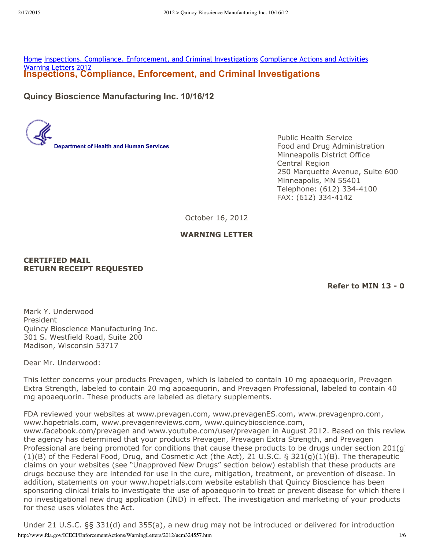**Inspections, Compliance, Enforcement, and Criminal Investigations** Home Inspections, Compliance, Enforcement, and Criminal Investigations Compliance Actions and Activities Warning Letters 2012

**Quincy Bioscience Manufacturing Inc. 10/16/12**

**Department of Health and Human Services**

Public Health Service Food and Drug Administration Minneapolis District Office Central Region 250 Marquette Avenue, Suite 600 Minneapolis, MN 55401 Telephone: (612) 334-4100 FAX: (612) 334-4142

October 16, 2012

#### **WARNING LETTER**

**CERTIFIED MAIL RETURN RECEIPT REQUESTED**

**Refer to MIN 13 - 03**

Mark Y. Underwood President Quincy Bioscience Manufacturing Inc. 301 S. Westfield Road, Suite 200 Madison, Wisconsin 53717

Dear Mr. Underwood:

This letter concerns your products Prevagen, which is labeled to contain 10 mg apoaequorin, Prevagen Extra Strength, labeled to contain 20 mg apoaequorin, and Prevagen Professional, labeled to contain 40 mg apoaequorin. These products are labeled as dietary supplements.

FDA reviewed your websites at www.prevagen.com, www.prevagenES.com, www.prevagenpro.com, www.hopetrials.com, www.prevagenreviews.com, www.quincybioscience.com, www.facebook.com/prevagen and www.youtube.com/user/prevagen in August 2012. Based on this review, the agency has determined that your products Prevagen, Prevagen Extra Strength, and Prevagen Professional are being promoted for conditions that cause these products to be drugs under section 201(g) (1)(B) of the Federal Food, Drug, and Cosmetic Act (the Act), 21 U.S.C. § 321(g)(1)(B). The therapeutic claims on your websites (see "Unapproved New Drugs" section below) establish that these products are drugs because they are intended for use in the cure, mitigation, treatment, or prevention of disease. In addition, statements on your www.hopetrials.com website establish that Quincy Bioscience has been sponsoring clinical trials to investigate the use of apoaequorin to treat or prevent disease for which there i no investigational new drug application (IND) in effect. The investigation and marketing of your products for these uses violates the Act.

http://www.fda.gov/ICECI/EnforcementActions/WarningLetters/2012/ucm324557.htm 1/6 Under 21 U.S.C. §§ 331(d) and 355(a), a new drug may not be introduced or delivered for introduction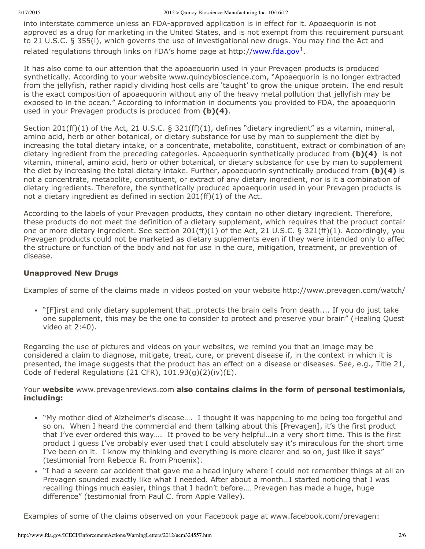into interstate commerce unless an FDA-approved application is in effect for it. Apoaequorin is not approved as a drug for marketing in the United States, and is not exempt from this requirement pursuant to 21 U.S.C. § 355(i), which governs the use of investigational new drugs. You may find the Act and related regulations through links on FDA's home page at http://www.fda.gov<sup>1</sup>.

It has also come to our attention that the apoaequorin used in your Prevagen products is produced synthetically. According to your website www.quincybioscience.com, "Apoaequorin is no longer extracted from the jellyfish, rather rapidly dividing host cells are 'taught' to grow the unique protein. The end result is the exact composition of apoaequorin without any of the heavy metal pollution that jellyfish may be exposed to in the ocean." According to information in documents you provided to FDA, the apoaequorin used in your Prevagen products is produced from **(b)(4)**.

Section 201(ff)(1) of the Act, 21 U.S.C. § 321(ff)(1), defines "dietary ingredient" as a vitamin, mineral, amino acid, herb or other botanical, or dietary substance for use by man to supplement the diet by increasing the total dietary intake, or a concentrate, metabolite, constituent, extract or combination of any dietary ingredient from the preceding categories. Apoaequorin synthetically produced from **(b)(4)** is not a vitamin, mineral, amino acid, herb or other botanical, or dietary substance for use by man to supplement the diet by increasing the total dietary intake. Further, apoaequorin synthetically produced from **(b)(4)** is not a concentrate, metabolite, constituent, or extract of any dietary ingredient, nor is it a combination of dietary ingredients. Therefore, the synthetically produced apoaequorin used in your Prevagen products is not a dietary ingredient as defined in section 201(ff)(1) of the Act.

According to the labels of your Prevagen products, they contain no other dietary ingredient. Therefore, these products do not meet the definition of a dietary supplement, which requires that the product contain one or more dietary ingredient. See section 201(ff)(1) of the Act, 21 U.S.C. § 321(ff)(1). Accordingly, your Prevagen products could not be marketed as dietary supplements even if they were intended only to affect the structure or function of the body and not for use in the cure, mitigation, treatment, or prevention of disease.

#### **Unapproved New Drugs**

Examples of some of the claims made in videos posted on your website http://www.prevagen.com/watch/*:*

"[F]irst and only dietary supplement that…protects the brain cells from death.... If you do just take one supplement, this may be the one to consider to protect and preserve your brain" (Healing Quest video at 2:40).

Regarding the use of pictures and videos on your websites, we remind you that an image may be considered a claim to diagnose, mitigate, treat, cure, or prevent disease if, in the context in which it is presented, the image suggests that the product has an effect on a disease or diseases. See, e.g., Title 21, Code of Federal Regulations (21 CFR),  $101.93(q)(2)(iv)(E)$ .

#### Your **website** www.prevagenreviews.com **also contains claims in the form of personal testimonials, including:**

- "My mother died of Alzheimer's disease…. I thought it was happening to me being too forgetful and so on. When I heard the commercial and them talking about this [Prevagen], it's the first product that I've ever ordered this way…. It proved to be very helpful…in a very short time. This is the first product I guess I've probably ever used that I could absolutely say it's miraculous for the short time I've been on it. I know my thinking and everything is more clearer and so on, just like it says" (testimonial from Rebecca R. from Phoenix).
- $\bullet$  "I had a severe car accident that gave me a head injury where I could not remember things at all and Prevagen sounded exactly like what I needed. After about a month…I started noticing that I was recalling things much easier, things that I hadn't before.… Prevagen has made a huge, huge difference" (testimonial from Paul C. from Apple Valley).

Examples of some of the claims observed on your Facebook page at www.facebook.com/prevagen: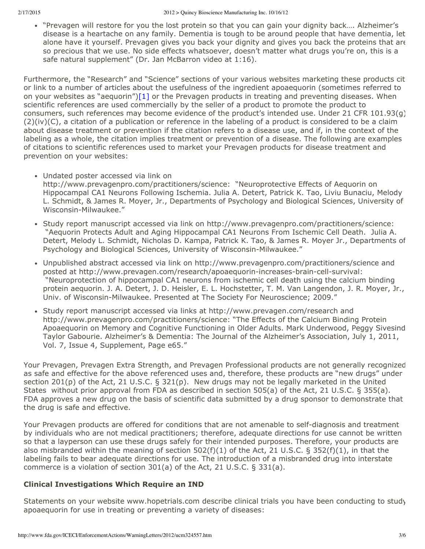"Prevagen will restore for you the lost protein so that you can gain your dignity back…. Alzheimer's disease is a heartache on any family. Dementia is tough to be around people that have dementia, let alone have it yourself. Prevagen gives you back your dignity and gives you back the proteins that are so precious that we use. No side effects whatsoever, doesn't matter what drugs you're on, this is a safe natural supplement" (Dr. Jan McBarron video at 1:16).

Furthermore, the "Research" and "Science" sections of your various websites marketing these products cit or link to a number of articles about the usefulness of the ingredient apoaequorin (sometimes referred to on your websites as "aequorin") $[1]$  or the Prevagen products in treating and preventing diseases. When scientific references are used commercially by the seller of a product to promote the product to consumers, such references may become evidence of the product's intended use. Under 21 CFR 101.93(g) (2)(iv)(C), a citation of a publication or reference in the labeling of a product is considered to be a claim about disease treatment or prevention if the citation refers to a disease use, and if, in the context of the labeling as a whole, the citation implies treatment or prevention of a disease. The following are examples of citations to scientific references used to market your Prevagen products for disease treatment and prevention on your websites:

- Undated poster accessed via link on http://www.prevagenpro.com/practitioners/science: "Neuroprotective Effects of Aequorin on Hippocampal CA1 Neurons Following Ischemia. Julia A. Detert, Patrick K. Tao, Liviu Bunaciu, Melody L. Schmidt, & James R. Moyer, Jr., Departments of Psychology and Biological Sciences, University of Wisconsin-Milwaukee."
- Study report manuscript accessed via link on http://www.prevagenpro.com/practitioners/science: "Aequorin Protects Adult and Aging Hippocampal CA1 Neurons From Ischemic Cell Death. Julia A. Detert, Melody L. Schmidt, Nicholas D. Kampa, Patrick K. Tao, & James R. Moyer Jr., Departments of Psychology and Biological Sciences, University of Wisconsin-Milwaukee."
- Unpublished abstract accessed via link on http://www.prevagenpro.com/practitioners/science and posted at http://www.prevagen.com/research/apoaequorin-increases-brain-cell-survival: "Neuroprotection of hippocampal CA1 neurons from ischemic cell death using the calcium binding protein aequorin. J. A. Detert, J. D. Heisler, E. L. Hochstetter, T. M. Van Langendon, J. R. Moyer, Jr., Univ. of Wisconsin-Milwaukee. Presented at The Society For Neuroscience; 2009."
- Study report manuscript accessed via links at http://www.prevagen.com/research and http://www.prevagenpro.com/practitioners/science: "The Effects of the Calcium Binding Protein Apoaequorin on Memory and Cognitive Functioning in Older Adults. Mark Underwood, Peggy Sivesind, Taylor Gabourie. Alzheimer's & Dementia: The Journal of the Alzheimer's Association, July 1, 2011, Vol. 7, Issue 4, Supplement, Page e65."

Your Prevagen, Prevagen Extra Strength, and Prevagen Professional products are not generally recognized as safe and effective for the above referenced uses and, therefore, these products are "new drugs" under section 201(p) of the Act, 21 U.S.C. § 321(p). New drugs may not be legally marketed in the United States without prior approval from FDA as described in section 505(a) of the Act, 21 U.S.C. § 355(a). FDA approves a new drug on the basis of scientific data submitted by a drug sponsor to demonstrate that the drug is safe and effective.

Your Prevagen products are offered for conditions that are not amenable to self-diagnosis and treatment by individuals who are not medical practitioners; therefore, adequate directions for use cannot be written so that a layperson can use these drugs safely for their intended purposes. Therefore, your products are also misbranded within the meaning of section 502(f)(1) of the Act, 21 U.S.C. § 352(f)(1), in that the labeling fails to bear adequate directions for use. The introduction of a misbranded drug into interstate commerce is a violation of section 301(a) of the Act, 21 U.S.C. § 331(a).

## **Clinical Investigations Which Require an IND**

Statements on your website www.hopetrials.com describe clinical trials you have been conducting to study apoaequorin for use in treating or preventing a variety of diseases: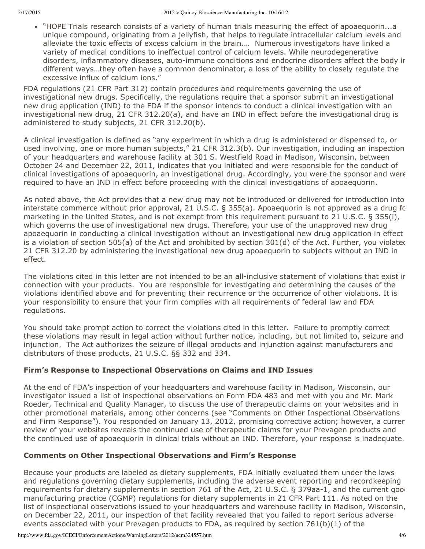"HOPE Trials research consists of a variety of human trials measuring the effect of apoaequorin...a unique compound, originating from a jellyfish, that helps to regulate intracellular calcium levels and alleviate the toxic effects of excess calcium in the brain.… Numerous investigators have linked a variety of medical conditions to ineffectual control of calcium levels. While neurodegenerative disorders, inflammatory diseases, auto-immune conditions and endocrine disorders affect the body in different ways…they often have a common denominator, a loss of the ability to closely regulate the excessive influx of calcium ions."

FDA regulations (21 CFR Part 312) contain procedures and requirements governing the use of investigational new drugs. Specifically, the regulations require that a sponsor submit an investigational new drug application (IND) to the FDA if the sponsor intends to conduct a clinical investigation with an investigational new drug, 21 CFR 312.20(a), and have an IND in effect before the investigational drug is administered to study subjects, 21 CFR 312.20(b).

A clinical investigation is defined as "any experiment in which a drug is administered or dispensed to, or used involving, one or more human subjects," 21 CFR 312.3(b). Our investigation, including an inspection of your headquarters and warehouse facility at 301 S. Westfield Road in Madison, Wisconsin, between October 24 and December 22, 2011, indicates that you initiated and were responsible for the conduct of clinical investigations of apoaequorin, an investigational drug. Accordingly, you were the sponsor and were required to have an IND in effect before proceeding with the clinical investigations of apoaequorin.

As noted above, the Act provides that a new drug may not be introduced or delivered for introduction into interstate commerce without prior approval, 21 U.S.C. § 355(a). Apoaequorin is not approved as a drug for marketing in the United States, and is not exempt from this requirement pursuant to 21 U.S.C. § 355(i), which governs the use of investigational new drugs. Therefore, your use of the unapproved new drug apoaequorin in conducting a clinical investigation without an investigational new drug application in effect is a violation of section  $505(a)$  of the Act and prohibited by section  $301(d)$  of the Act. Further, you violated 21 CFR 312.20 by administering the investigational new drug apoaequorin to subjects without an IND in effect.

The violations cited in this letter are not intended to be an all-inclusive statement of violations that exist in connection with your products. You are responsible for investigating and determining the causes of the violations identified above and for preventing their recurrence or the occurrence of other violations. It is your responsibility to ensure that your firm complies with all requirements of federal law and FDA regulations.

You should take prompt action to correct the violations cited in this letter. Failure to promptly correct these violations may result in legal action without further notice, including, but not limited to, seizure and injunction. The Act authorizes the seizure of illegal products and injunction against manufacturers and distributors of those products, 21 U.S.C. §§ 332 and 334.

## **Firm's Response to Inspectional Observations on Claims and IND Issues**

At the end of FDA's inspection of your headquarters and warehouse facility in Madison, Wisconsin, our investigator issued a list of inspectional observations on Form FDA 483 and met with you and Mr. Mark Roeder, Technical and Quality Manager, to discuss the use of therapeutic claims on your websites and in other promotional materials, among other concerns (see "Comments on Other Inspectional Observations and Firm Response"). You responded on January 13, 2012, promising corrective action; however, a current review of your websites reveals the continued use of therapeutic claims for your Prevagen products and the continued use of apoaequorin in clinical trials without an IND. Therefore, your response is inadequate.

## **Comments on Other Inspectional Observations and Firm's Response**

Because your products are labeled as dietary supplements, FDA initially evaluated them under the laws and regulations governing dietary supplements, including the adverse event reporting and recordkeeping requirements for dietary supplements in section 761 of the Act, 21 U.S.C. § 379aa-1, and the current good manufacturing practice (CGMP) regulations for dietary supplements in 21 CFR Part 111. As noted on the list of inspectional observations issued to your headquarters and warehouse facility in Madison, Wisconsin, on December 22, 2011, our inspection of that facility revealed that you failed to report serious adverse events associated with your Prevagen products to FDA, as required by section  $761(b)(1)$  of the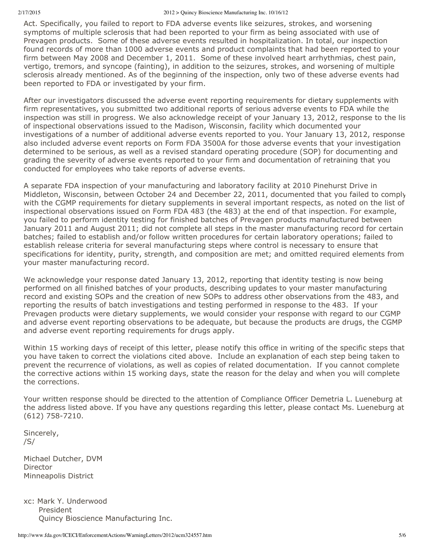Act. Specifically, you failed to report to FDA adverse events like seizures, strokes, and worsening symptoms of multiple sclerosis that had been reported to your firm as being associated with use of Prevagen products. Some of these adverse events resulted in hospitalization. In total, our inspection found records of more than 1000 adverse events and product complaints that had been reported to your firm between May 2008 and December 1, 2011. Some of these involved heart arrhythmias, chest pain, vertigo, tremors, and syncope (fainting), in addition to the seizures, strokes, and worsening of multiple sclerosis already mentioned. As of the beginning of the inspection, only two of these adverse events had been reported to FDA or investigated by your firm.

After our investigators discussed the adverse event reporting requirements for dietary supplements with firm representatives, you submitted two additional reports of serious adverse events to FDA while the inspection was still in progress. We also acknowledge receipt of your January 13, 2012, response to the list of inspectional observations issued to the Madison, Wisconsin, facility which documented your investigations of a number of additional adverse events reported to you. Your January 13, 2012, response also included adverse event reports on Form FDA 3500A for those adverse events that your investigation determined to be serious, as well as a revised standard operating procedure (SOP) for documenting and grading the severity of adverse events reported to your firm and documentation of retraining that you conducted for employees who take reports of adverse events.

A separate FDA inspection of your manufacturing and laboratory facility at 2010 Pinehurst Drive in Middleton, Wisconsin, between October 24 and December 22, 2011, documented that you failed to comply with the CGMP requirements for dietary supplements in several important respects, as noted on the list of inspectional observations issued on Form FDA 483 (the 483) at the end of that inspection. For example, you failed to perform identity testing for finished batches of Prevagen products manufactured between January 2011 and August 2011; did not complete all steps in the master manufacturing record for certain batches; failed to establish and/or follow written procedures for certain laboratory operations; failed to establish release criteria for several manufacturing steps where control is necessary to ensure that specifications for identity, purity, strength, and composition are met; and omitted required elements from your master manufacturing record.

We acknowledge your response dated January 13, 2012, reporting that identity testing is now being performed on all finished batches of your products, describing updates to your master manufacturing record and existing SOPs and the creation of new SOPs to address other observations from the 483, and reporting the results of batch investigations and testing performed in response to the 483. If your Prevagen products were dietary supplements, we would consider your response with regard to our CGMP and adverse event reporting observations to be adequate, but because the products are drugs, the CGMP and adverse event reporting requirements for drugs apply.

Within 15 working days of receipt of this letter, please notify this office in writing of the specific steps that you have taken to correct the violations cited above. Include an explanation of each step being taken to prevent the recurrence of violations, as well as copies of related documentation. If you cannot complete the corrective actions within 15 working days, state the reason for the delay and when you will complete the corrections.

Your written response should be directed to the attention of Compliance Officer Demetria L. Lueneburg at the address listed above. If you have any questions regarding this letter, please contact Ms. Lueneburg at (612) 758-7210.

Sincerely, /S/

Michael Dutcher, DVM Director Minneapolis District

xc: Mark Y. Underwood President Quincy Bioscience Manufacturing Inc.